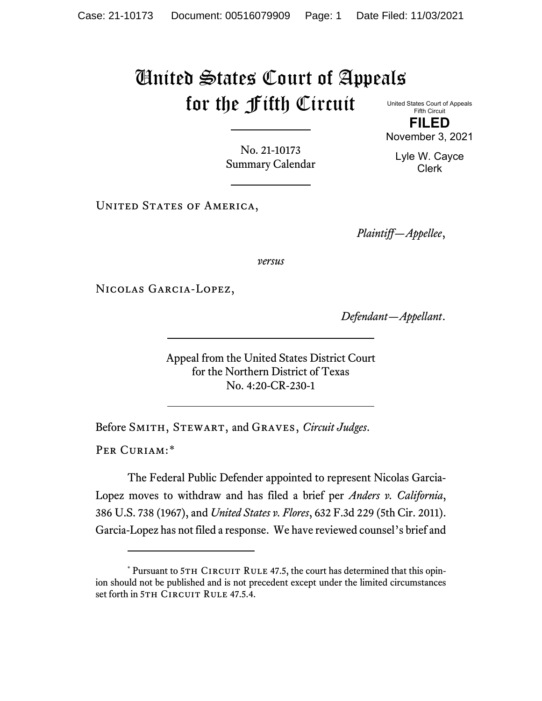## United States Court of Appeals for the Fifth Circuit

United States Court of Appeals Fifth Circuit **FILED**

November 3, 2021

Lyle W. Cayce Clerk

No. 21-10173 Summary Calendar

UNITED STATES OF AMERICA,

*Plaintiff—Appellee*,

*versus*

Nicolas Garcia-Lopez,

*Defendant—Appellant*.

Appeal from the United States District Court for the Northern District of Texas No. 4:20-CR-230-1

Before Smith, Stewart, and Graves, *Circuit Judges*.

PER CURIAM:[\\*](#page-0-0)

The Federal Public Defender appointed to represent Nicolas Garcia-Lopez moves to withdraw and has filed a brief per *Anders v. California*, 386 U.S. 738 (1967), and *United States v. Flores*, 632 F.3d 229 (5th Cir. 2011). Garcia-Lopez has not filed a response. We have reviewed counsel's brief and

<span id="page-0-0"></span> $*$  Pursuant to 5TH CIRCUIT RULE 47.5, the court has determined that this opinion should not be published and is not precedent except under the limited circumstances set forth in 5TH CIRCUIT RULE 47.5.4.